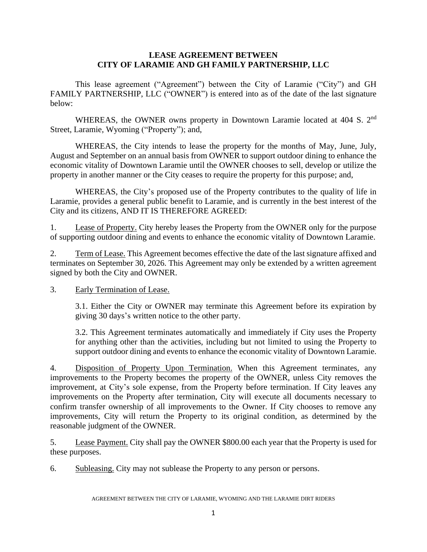### **LEASE AGREEMENT BETWEEN CITY OF LARAMIE AND GH FAMILY PARTNERSHIP, LLC**

This lease agreement ("Agreement") between the City of Laramie ("City") and GH FAMILY PARTNERSHIP, LLC ("OWNER") is entered into as of the date of the last signature below:

WHEREAS, the OWNER owns property in Downtown Laramie located at 404 S. 2<sup>nd</sup> Street, Laramie, Wyoming ("Property"); and,

WHEREAS, the City intends to lease the property for the months of May, June, July, August and September on an annual basis from OWNER to support outdoor dining to enhance the economic vitality of Downtown Laramie until the OWNER chooses to sell, develop or utilize the property in another manner or the City ceases to require the property for this purpose; and,

WHEREAS, the City's proposed use of the Property contributes to the quality of life in Laramie, provides a general public benefit to Laramie, and is currently in the best interest of the City and its citizens, AND IT IS THEREFORE AGREED:

1. Lease of Property. City hereby leases the Property from the OWNER only for the purpose of supporting outdoor dining and events to enhance the economic vitality of Downtown Laramie.

2. Term of Lease. This Agreement becomes effective the date of the last signature affixed and terminates on September 30, 2026. This Agreement may only be extended by a written agreement signed by both the City and OWNER.

3. Early Termination of Lease.

3.1. Either the City or OWNER may terminate this Agreement before its expiration by giving 30 days's written notice to the other party.

3.2. This Agreement terminates automatically and immediately if City uses the Property for anything other than the activities, including but not limited to using the Property to support outdoor dining and events to enhance the economic vitality of Downtown Laramie.

4. Disposition of Property Upon Termination. When this Agreement terminates, any improvements to the Property becomes the property of the OWNER, unless City removes the improvement, at City's sole expense, from the Property before termination. If City leaves any improvements on the Property after termination, City will execute all documents necessary to confirm transfer ownership of all improvements to the Owner. If City chooses to remove any improvements, City will return the Property to its original condition, as determined by the reasonable judgment of the OWNER.

5. Lease Payment. City shall pay the OWNER \$800.00 each year that the Property is used for these purposes.

6. Subleasing. City may not sublease the Property to any person or persons.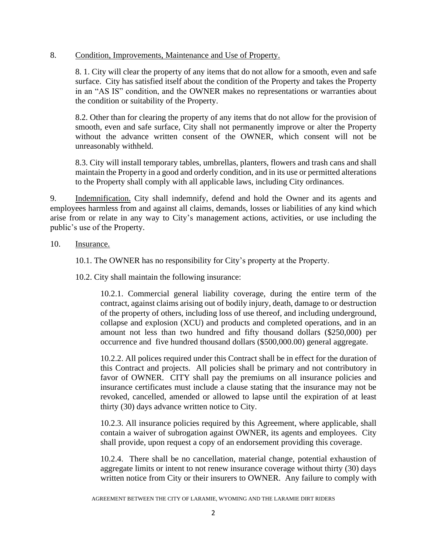#### 8. Condition, Improvements, Maintenance and Use of Property.

8. 1. City will clear the property of any items that do not allow for a smooth, even and safe surface. City has satisfied itself about the condition of the Property and takes the Property in an "AS IS" condition, and the OWNER makes no representations or warranties about the condition or suitability of the Property.

8.2. Other than for clearing the property of any items that do not allow for the provision of smooth, even and safe surface, City shall not permanently improve or alter the Property without the advance written consent of the OWNER, which consent will not be unreasonably withheld.

8.3. City will install temporary tables, umbrellas, planters, flowers and trash cans and shall maintain the Property in a good and orderly condition, and in its use or permitted alterations to the Property shall comply with all applicable laws, including City ordinances.

9. Indemnification. City shall indemnify, defend and hold the Owner and its agents and employees harmless from and against all claims, demands, losses or liabilities of any kind which arise from or relate in any way to City's management actions, activities, or use including the public's use of the Property.

### 10. Insurance.

10.1. The OWNER has no responsibility for City's property at the Property.

10.2. City shall maintain the following insurance:

10.2.1. Commercial general liability coverage, during the entire term of the contract, against claims arising out of bodily injury, death, damage to or destruction of the property of others, including loss of use thereof, and including underground, collapse and explosion (XCU) and products and completed operations, and in an amount not less than two hundred and fifty thousand dollars (\$250,000) per occurrence and five hundred thousand dollars (\$500,000.00) general aggregate.

10.2.2. All polices required under this Contract shall be in effect for the duration of this Contract and projects. All policies shall be primary and not contributory in favor of OWNER. CITY shall pay the premiums on all insurance policies and insurance certificates must include a clause stating that the insurance may not be revoked, cancelled, amended or allowed to lapse until the expiration of at least thirty (30) days advance written notice to City.

10.2.3. All insurance policies required by this Agreement, where applicable, shall contain a waiver of subrogation against OWNER, its agents and employees. City shall provide, upon request a copy of an endorsement providing this coverage.

10.2.4. There shall be no cancellation, material change, potential exhaustion of aggregate limits or intent to not renew insurance coverage without thirty (30) days written notice from City or their insurers to OWNER. Any failure to comply with

AGREEMENT BETWEEN THE CITY OF LARAMIE, WYOMING AND THE LARAMIE DIRT RIDERS